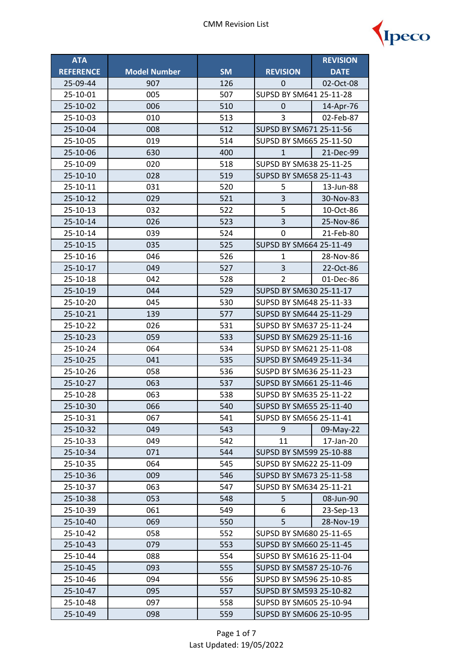

| <b>ATA</b>       |                     |           |                         | <b>REVISION</b>         |  |
|------------------|---------------------|-----------|-------------------------|-------------------------|--|
| <b>REFERENCE</b> | <b>Model Number</b> | <b>SM</b> | <b>REVISION</b>         | <b>DATE</b>             |  |
| 25-09-44         | 907                 | 126       | 0                       | 02-Oct-08               |  |
| 25-10-01         | 005                 | 507       | SUPSD BY SM641 25-11-28 |                         |  |
| 25-10-02         | 006                 | 510       | 14-Apr-76<br>0          |                         |  |
| 25-10-03         | 010                 | 513       | 3                       | 02-Feb-87               |  |
| 25-10-04         | 008                 | 512       | SUPSD BY SM671 25-11-56 |                         |  |
| 25-10-05         | 019                 | 514       | SUPSD BY SM665 25-11-50 |                         |  |
| 25-10-06         | 630                 | 400       | $\mathbf{1}$            | 21-Dec-99               |  |
| 25-10-09         | 020                 | 518       | SUPSD BY SM638 25-11-25 |                         |  |
| 25-10-10         | 028                 | 519       | SUPSD BY SM658 25-11-43 |                         |  |
| 25-10-11         | 031                 | 520       | 5                       | 13-Jun-88               |  |
| 25-10-12         | 029                 | 521       | 3                       | 30-Nov-83               |  |
| 25-10-13         | 032                 | 522       | 5                       | 10-Oct-86               |  |
| 25-10-14         | 026                 | 523       | $\overline{3}$          | 25-Nov-86               |  |
| 25-10-14         | 039                 | 524       | 0                       | 21-Feb-80               |  |
| 25-10-15         | 035                 | 525       | SUPSD BY SM664 25-11-49 |                         |  |
| 25-10-16         | 046                 | 526       | $\mathbf{1}$            | 28-Nov-86               |  |
| 25-10-17         | 049                 | 527       | 3                       | 22-Oct-86               |  |
| 25-10-18         | 042                 | 528       | $\overline{2}$          | 01-Dec-86               |  |
| 25-10-19         | 044                 | 529       | SUPSD BY SM630 25-11-17 |                         |  |
| 25-10-20         | 045                 | 530       | SUPSD BY SM648 25-11-33 |                         |  |
| 25-10-21         | 139                 | 577       |                         | SUPSD BY SM644 25-11-29 |  |
| 25-10-22         | 026                 | 531       |                         | SUPSD BY SM637 25-11-24 |  |
| 25-10-23         | 059                 | 533       | SUPSD BY SM629 25-11-16 |                         |  |
| 25-10-24         | 064                 | 534       |                         | SUPSD BY SM621 25-11-08 |  |
| 25-10-25         | 041                 | 535       | SUPSD BY SM649 25-11-34 |                         |  |
| 25-10-26         | 058                 | 536       | SUSPD BY SM636 25-11-23 |                         |  |
| 25-10-27         | 063                 | 537       | SUPSD BY SM661 25-11-46 |                         |  |
| 25-10-28         | 063                 | 538       | SUPSD BY SM635 25-11-22 |                         |  |
| 25-10-30         | 066                 | 540       | SUPSD BY SM655 25-11-40 |                         |  |
| 25-10-31         | 067                 | 541       | SUPSD BY SM656 25-11-41 |                         |  |
| 25-10-32         | 049                 | 543       | 9                       | 09-May-22               |  |
| 25-10-33         | 049                 | 542       | 11                      | 17-Jan-20               |  |
| 25-10-34         | 071                 | 544       | SUPSD BY SM599 25-10-88 |                         |  |
| 25-10-35         | 064                 | 545       |                         | SUPSD BY SM622 25-11-09 |  |
| 25-10-36         | 009                 | 546       | SUPSD BY SM673 25-11-58 |                         |  |
| 25-10-37         | 063                 | 547       | SUPSD BY SM634 25-11-21 |                         |  |
| 25-10-38         | 053                 | 548       | 5                       | 08-Jun-90               |  |
| 25-10-39         | 061                 | 549       | 6                       | 23-Sep-13               |  |
| 25-10-40         | 069                 | 550       | 5                       | 28-Nov-19               |  |
| 25-10-42         | 058                 | 552       | SUPSD BY SM680 25-11-65 |                         |  |
| 25-10-43         | 079                 | 553       | SUPSD BY SM660 25-11-45 |                         |  |
| 25-10-44         | 088                 | 554       | SUPSD BY SM616 25-11-04 |                         |  |
| 25-10-45         | 093                 | 555       | SUPSD BY SM587 25-10-76 |                         |  |
| 25-10-46         | 094                 | 556       | SUPSD BY SM596 25-10-85 |                         |  |
| 25-10-47         | 095                 | 557       | SUPSD BY SM593 25-10-82 |                         |  |
| 25-10-48         | 097                 | 558       | SUPSD BY SM605 25-10-94 |                         |  |
| 25-10-49         | 098                 | 559       | SUPSD BY SM606 25-10-95 |                         |  |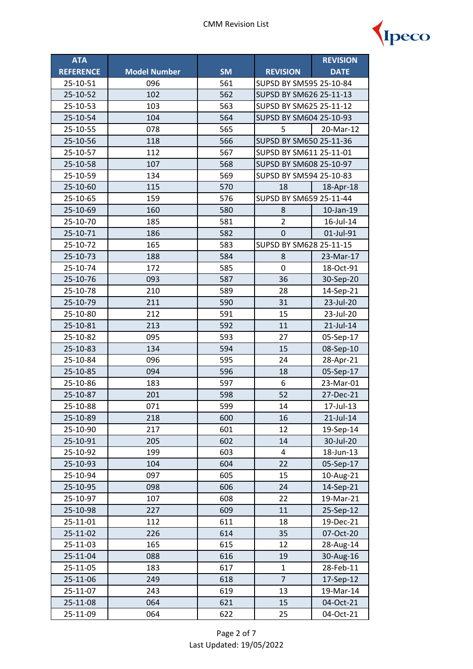

| <b>ATA</b>       |                     |           |                         | <b>REVISION</b> |  |
|------------------|---------------------|-----------|-------------------------|-----------------|--|
| <b>REFERENCE</b> | <b>Model Number</b> | <b>SM</b> | <b>REVISION</b>         | <b>DATE</b>     |  |
| 25-10-51         | 096                 | 561       | SUPSD BY SM595 25-10-84 |                 |  |
| 25-10-52         | 102                 | 562       | SUPSD BY SM626 25-11-13 |                 |  |
| 25-10-53         | 103                 | 563       | SUPSD BY SM625 25-11-12 |                 |  |
| 25-10-54         | 104                 | 564       | SUPSD BY SM604 25-10-93 |                 |  |
| 25-10-55         | 078                 | 565       | 5<br>20-Mar-12          |                 |  |
| 25-10-56         | 118                 | 566       | SUPSD BY SM650 25-11-36 |                 |  |
| 25-10-57         | 112                 | 567       | SUPSD BY SM611 25-11-01 |                 |  |
| 25-10-58         | 107                 | 568       | SUPSD BY SM608 25-10-97 |                 |  |
| 25-10-59         | 134                 | 569       | SUPSD BY SM594 25-10-83 |                 |  |
| 25-10-60         | 115                 | 570       | 18                      | 18-Apr-18       |  |
| 25-10-65         | 159                 | 576       | SUPSD BY SM659 25-11-44 |                 |  |
| 25-10-69         | 160                 | 580       | 8                       | 10-Jan-19       |  |
| 25-10-70         | 185                 | 581       | $\overline{2}$          | 16-Jul-14       |  |
| 25-10-71         | 186                 | 582       | 0                       | 01-Jul-91       |  |
| 25-10-72         | 165                 | 583       | SUPSD BY SM628 25-11-15 |                 |  |
| 25-10-73         | 188                 | 584       | 8                       | 23-Mar-17       |  |
| 25-10-74         | 172                 | 585       | 0                       | 18-Oct-91       |  |
| 25-10-76         | 093                 | 587       | 36                      | 30-Sep-20       |  |
| 25-10-78         | 210                 | 589       | 28                      | 14-Sep-21       |  |
| 25-10-79         | 211                 | 590       | 31                      | 23-Jul-20       |  |
| 25-10-80         | 212                 | 591       | 15                      | 23-Jul-20       |  |
| 25-10-81         | 213                 | 592       | 11                      | 21-Jul-14       |  |
| 25-10-82         | 095                 | 593       | 27                      | 05-Sep-17       |  |
| 25-10-83         | 134                 | 594       | 15                      | 08-Sep-10       |  |
| 25-10-84         | 096                 | 595       | 24                      | 28-Apr-21       |  |
| 25-10-85         | 094                 | 596       | 18                      | 05-Sep-17       |  |
| 25-10-86         | 183                 | 597       | 6                       | 23-Mar-01       |  |
| 25-10-87         | 201                 | 598       | 52                      | 27-Dec-21       |  |
| 25-10-88         | 071                 | 599       | 14                      | 17-Jul-13       |  |
| 25-10-89         | 218                 | 600       | 16                      | 21-Jul-14       |  |
| 25-10-90         | 217                 | 601       | 12                      | 19-Sep-14       |  |
| 25-10-91         | 205                 | 602       | 14                      | 30-Jul-20       |  |
| 25-10-92         | 199                 | 603       | 4                       | 18-Jun-13       |  |
| 25-10-93         | 104                 | 604       | 22                      | 05-Sep-17       |  |
| 25-10-94         | 097                 | 605       | 15                      | 10-Aug-21       |  |
| 25-10-95         | 098                 | 606       | 24                      | 14-Sep-21       |  |
| 25-10-97         | 107                 | 608       | 22                      | 19-Mar-21       |  |
| 25-10-98         | 227                 | 609       | 11                      | 25-Sep-12       |  |
| 25-11-01         | 112                 | 611       | 18                      | 19-Dec-21       |  |
| 25-11-02         | 226                 | 614       | 35                      | 07-Oct-20       |  |
| 25-11-03         | 165                 | 615       | 12                      | 28-Aug-14       |  |
| 25-11-04         | 088                 | 616       | 19                      | 30-Aug-16       |  |
| 25-11-05         | 183                 | 617       | $\mathbf{1}$            | 28-Feb-11       |  |
| 25-11-06         | 249                 | 618       | $\overline{7}$          | 17-Sep-12       |  |
| 25-11-07         | 243                 | 619       | 13                      | 19-Mar-14       |  |
| 25-11-08         | 064                 | 621       | 15                      | 04-Oct-21       |  |
| 25-11-09         | 064                 | 622       | 25                      | 04-Oct-21       |  |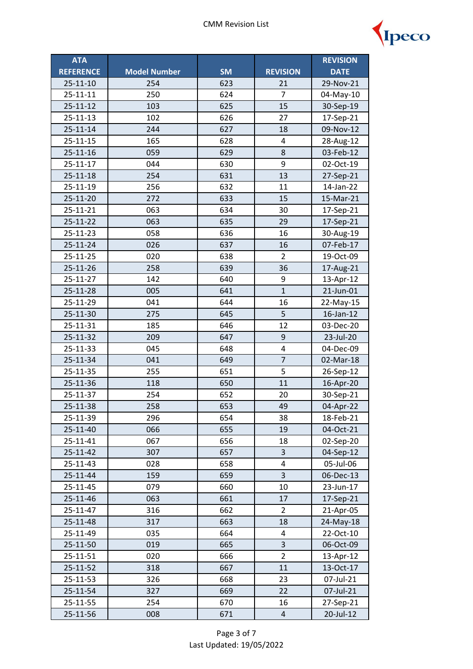

| <b>ATA</b>       |                     |           |                         | <b>REVISION</b> |
|------------------|---------------------|-----------|-------------------------|-----------------|
| <b>REFERENCE</b> | <b>Model Number</b> | <b>SM</b> | <b>REVISION</b>         | <b>DATE</b>     |
| $25 - 11 - 10$   | 254                 | 623       | 21                      | 29-Nov-21       |
| 25-11-11         | 250                 | 624       | $\overline{7}$          | 04-May-10       |
| 25-11-12         | 103                 | 625       | 15                      | 30-Sep-19       |
| 25-11-13         | 102                 | 626       | 27                      | 17-Sep-21       |
| $25 - 11 - 14$   | 244                 | 627       | 18                      | 09-Nov-12       |
| 25-11-15         | 165                 | 628       | 4                       | 28-Aug-12       |
| $25 - 11 - 16$   | 059                 | 629       | 8                       | 03-Feb-12       |
| 25-11-17         | 044                 | 630       | 9                       | 02-Oct-19       |
| 25-11-18         | 254                 | 631       | 13                      | 27-Sep-21       |
| 25-11-19         | 256                 | 632       | 11                      | 14-Jan-22       |
| 25-11-20         | 272                 | 633       | 15                      | 15-Mar-21       |
| 25-11-21         | 063                 | 634       | 30                      | 17-Sep-21       |
| 25-11-22         | 063                 | 635       | 29                      | 17-Sep-21       |
| 25-11-23         | 058                 | 636       | 16                      | 30-Aug-19       |
| 25-11-24         | 026                 | 637       | 16                      | 07-Feb-17       |
| 25-11-25         | 020                 | 638       | $\overline{2}$          | 19-Oct-09       |
| 25-11-26         | 258                 | 639       | 36                      | 17-Aug-21       |
| 25-11-27         | 142                 | 640       | 9                       | 13-Apr-12       |
| 25-11-28         | 005                 | 641       | $\mathbf{1}$            | 21-Jun-01       |
| 25-11-29         | 041                 | 644       | 16                      | 22-May-15       |
| 25-11-30         | 275                 | 645       | 5                       | 16-Jan-12       |
| 25-11-31         | 185                 | 646       | 12                      | 03-Dec-20       |
| 25-11-32         | 209                 | 647       | 9                       | 23-Jul-20       |
| 25-11-33         | 045                 | 648       | 4                       | 04-Dec-09       |
| 25-11-34         | 041                 | 649       | $\overline{7}$          | 02-Mar-18       |
| 25-11-35         | 255                 | 651       | 5                       | 26-Sep-12       |
| 25-11-36         | 118                 | 650       | 11                      | 16-Apr-20       |
| 25-11-37         | 254                 | 652       | 20                      | 30-Sep-21       |
| 25-11-38         | 258                 | 653       | 49                      | 04-Apr-22       |
| 25-11-39         | 296                 | 654       | 38                      | 18-Feb-21       |
| 25-11-40         | 066                 | 655       | 19                      | 04-Oct-21       |
| 25-11-41         | 067                 | 656       | 18                      | 02-Sep-20       |
| 25-11-42         | 307                 | 657       | 3                       | 04-Sep-12       |
| 25-11-43         | 028                 | 658       | 4                       | 05-Jul-06       |
| 25-11-44         | 159                 | 659       | 3                       | 06-Dec-13       |
| 25-11-45         | 079                 | 660       | 10                      | 23-Jun-17       |
| 25-11-46         | 063                 | 661       | 17                      | 17-Sep-21       |
| 25-11-47         | 316                 | 662       | $\overline{2}$          | 21-Apr-05       |
| 25-11-48         | 317                 | 663       | 18                      | 24-May-18       |
| 25-11-49         | 035                 | 664       | 4                       | 22-Oct-10       |
| 25-11-50         | 019                 | 665       | 3                       | 06-Oct-09       |
| 25-11-51         | 020                 | 666       | $\overline{2}$          | 13-Apr-12       |
| 25-11-52         | 318                 | 667       | 11                      | 13-Oct-17       |
| 25-11-53         | 326                 | 668       | 23                      | 07-Jul-21       |
| 25-11-54         | 327                 | 669       | 22                      | 07-Jul-21       |
| 25-11-55         | 254                 | 670       | 16                      | 27-Sep-21       |
| 25-11-56         | 008                 | 671       | $\overline{\mathbf{r}}$ | 20-Jul-12       |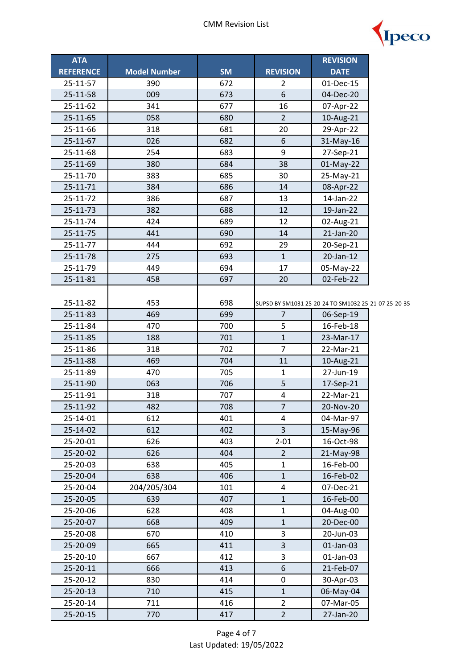

| <b>ATA</b>       |                     |           |                         | <b>REVISION</b>                                      |  |
|------------------|---------------------|-----------|-------------------------|------------------------------------------------------|--|
| <b>REFERENCE</b> | <b>Model Number</b> | <b>SM</b> | <b>REVISION</b>         | <b>DATE</b>                                          |  |
| 25-11-57         | 390                 | 672       | 2                       | 01-Dec-15                                            |  |
| 25-11-58         | 009                 | 673       | 6                       | 04-Dec-20                                            |  |
| 25-11-62         | 341                 | 677       | 16                      | 07-Apr-22                                            |  |
| 25-11-65         | 058                 | 680       | $\overline{2}$          | 10-Aug-21                                            |  |
| 25-11-66         | 318                 | 681       | 20                      | 29-Apr-22                                            |  |
| 25-11-67         | 026                 | 682       | 6                       | 31-May-16                                            |  |
| 25-11-68         | 254                 | 683       | 9                       | 27-Sep-21                                            |  |
| 25-11-69         | 380                 | 684       | 38                      | 01-May-22                                            |  |
| 25-11-70         | 383                 | 685       | 30                      | 25-May-21                                            |  |
| 25-11-71         | 384                 | 686       | 14                      | 08-Apr-22                                            |  |
| 25-11-72         | 386                 | 687       | 13                      | 14-Jan-22                                            |  |
| 25-11-73         | 382                 | 688       | 12                      | 19-Jan-22                                            |  |
| 25-11-74         | 424                 | 689       | 12                      | 02-Aug-21                                            |  |
| 25-11-75         | 441                 | 690       | 14                      | 21-Jan-20                                            |  |
| 25-11-77         | 444                 | 692       | 29                      | 20-Sep-21                                            |  |
| 25-11-78         | 275                 | 693       | $\mathbf{1}$            | 20-Jan-12                                            |  |
| 25-11-79         | 449                 | 694       | 17                      | 05-May-22                                            |  |
| 25-11-81         | 458                 | 697       | 20                      | 02-Feb-22                                            |  |
|                  |                     |           |                         |                                                      |  |
| 25-11-82         | 453                 | 698       |                         | SUPSD BY SM1031 25-20-24 TO SM1032 25-21-07 25-20-35 |  |
| 25-11-83         | 469                 | 699       | $\overline{7}$          | 06-Sep-19                                            |  |
| 25-11-84         | 470                 | 700       | 5                       | 16-Feb-18                                            |  |
| 25-11-85         | 188                 | 701       | $\mathbf{1}$            | 23-Mar-17                                            |  |
| 25-11-86         | 318                 | 702       | $\overline{7}$          | 22-Mar-21                                            |  |
| 25-11-88         | 469                 | 704       | 11                      | 10-Aug-21                                            |  |
| 25-11-89         | 470                 | 705       | $\mathbf{1}$            | 27-Jun-19                                            |  |
| 25-11-90         | 063                 | 706       | 5                       | 17-Sep-21                                            |  |
| 25-11-91         | 318                 | 707       | $\pmb{4}$               | 22-Mar-21                                            |  |
| 25-11-92         | 482                 | 708       | $\overline{7}$          | 20-Nov-20                                            |  |
| 25-14-01         | 612                 | 401       | 4                       | 04-Mar-97                                            |  |
| 25-14-02         | 612                 | 402       | 3                       | 15-May-96                                            |  |
| 25-20-01         | 626                 | 403       | $2 - 01$                | 16-Oct-98                                            |  |
| 25-20-02         | 626                 | 404       | $\overline{2}$          | 21-May-98                                            |  |
| 25-20-03         | 638                 | 405       | $\mathbf{1}$            | 16-Feb-00                                            |  |
| 25-20-04         | 638                 | 406       | $\mathbf 1$             | 16-Feb-02                                            |  |
| 25-20-04         | 204/205/304         | 101       | $\overline{\mathbf{4}}$ | 07-Dec-21                                            |  |
| 25-20-05         | 639                 | 407       | $\mathbf{1}$            | 16-Feb-00                                            |  |
| 25-20-06         | 628                 | 408       | $\mathbf{1}$            | 04-Aug-00                                            |  |
| 25-20-07         | 668                 | 409       | $\mathbf{1}$            | 20-Dec-00                                            |  |
| 25-20-08         | 670                 | 410       | 3                       | 20-Jun-03                                            |  |
| 25-20-09         | 665                 | 411       | 3                       | 01-Jan-03                                            |  |
| 25-20-10         | 667                 | 412       | 3                       | 01-Jan-03                                            |  |
| 25-20-11         | 666                 | 413       | 6                       | 21-Feb-07                                            |  |
| 25-20-12         | 830                 | 414       | 0                       | 30-Apr-03                                            |  |
| 25-20-13         | 710                 | 415       | $\mathbf{1}$            | 06-May-04                                            |  |
| 25-20-14         | 711                 | 416       | $\overline{2}$          | 07-Mar-05                                            |  |
| 25-20-15         | 770                 | 417       | $\overline{2}$          | 27-Jan-20                                            |  |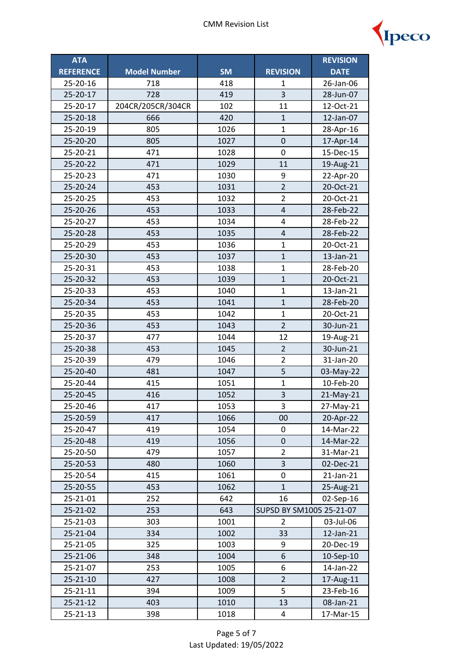

| <b>ATA</b>       |                     |           |                          | <b>REVISION</b> |
|------------------|---------------------|-----------|--------------------------|-----------------|
| <b>REFERENCE</b> | <b>Model Number</b> | <b>SM</b> | <b>REVISION</b>          | <b>DATE</b>     |
| 25-20-16         | 718                 | 418       | 1                        | 26-Jan-06       |
| 25-20-17         | 728                 | 419       | 3                        | 28-Jun-07       |
| 25-20-17         | 204CR/205CR/304CR   | 102       | 11                       | 12-Oct-21       |
| 25-20-18         | 666                 | 420       | $\mathbf{1}$             | 12-Jan-07       |
| 25-20-19         | 805                 | 1026      | $\mathbf{1}$             | 28-Apr-16       |
| 25-20-20         | 805                 | 1027      | $\mathbf 0$              | 17-Apr-14       |
| 25-20-21         | 471                 | 1028      | $\mathbf 0$              | 15-Dec-15       |
| 25-20-22         | 471                 | 1029      | 11                       | 19-Aug-21       |
| 25-20-23         | 471                 | 1030      | 9                        | 22-Apr-20       |
| 25-20-24         | 453                 | 1031      | $\overline{2}$           | 20-Oct-21       |
| 25-20-25         | 453                 | 1032      | $\overline{2}$           | 20-Oct-21       |
| 25-20-26         | 453                 | 1033      | $\overline{4}$           | 28-Feb-22       |
| 25-20-27         | 453                 | 1034      | $\overline{\mathbf{4}}$  | 28-Feb-22       |
| 25-20-28         | 453                 | 1035      | $\overline{4}$           | 28-Feb-22       |
| 25-20-29         | 453                 | 1036      | $\mathbf{1}$             | 20-Oct-21       |
| 25-20-30         | 453                 | 1037      | $\mathbf 1$              | 13-Jan-21       |
| 25-20-31         | 453                 | 1038      | $\mathbf{1}$             | 28-Feb-20       |
| 25-20-32         | 453                 | 1039      | $\mathbf 1$              | 20-Oct-21       |
| 25-20-33         | 453                 | 1040      | $\mathbf{1}$             | 13-Jan-21       |
| 25-20-34         | 453                 | 1041      | $\overline{1}$           | 28-Feb-20       |
| 25-20-35         | 453                 | 1042      | $\mathbf{1}$             | 20-Oct-21       |
| 25-20-36         | 453                 | 1043      | $\overline{2}$           | 30-Jun-21       |
| 25-20-37         | 477                 | 1044      | 12                       | 19-Aug-21       |
| 25-20-38         | 453                 | 1045      | $\overline{2}$           | 30-Jun-21       |
| 25-20-39         | 479                 | 1046      | $\overline{2}$           | 31-Jan-20       |
| 25-20-40         | 481                 | 1047      | 5                        | 03-May-22       |
| 25-20-44         | 415                 | 1051      | $\mathbf{1}$             | 10-Feb-20       |
| 25-20-45         | 416                 | 1052      | 3                        | 21-May-21       |
| 25-20-46         | 417                 | 1053      | 3                        | 27-May-21       |
| 25-20-59         | 417                 | 1066      | 00                       | 20-Apr-22       |
| 25-20-47         | 419                 | 1054      | 0                        | 14-Mar-22       |
| 25-20-48         | 419                 | 1056      | 0                        | 14-Mar-22       |
| 25-20-50         | 479                 | 1057      | $\overline{2}$           | 31-Mar-21       |
| 25-20-53         | 480                 | 1060      | 3                        | 02-Dec-21       |
| 25-20-54         | 415                 | 1061      | 0                        | 21-Jan-21       |
| 25-20-55         | 453                 | 1062      | $\mathbf{1}$             | 25-Aug-21       |
| 25-21-01         | 252                 | 642       | 16                       | 02-Sep-16       |
| 25-21-02         | 253                 | 643       | SUPSD BY SM1005 25-21-07 |                 |
| 25-21-03         | 303                 | 1001      | $\overline{2}$           | 03-Jul-06       |
| 25-21-04         | 334                 | 1002      | 33                       | 12-Jan-21       |
| 25-21-05         | 325                 | 1003      | 9                        | 20-Dec-19       |
| 25-21-06         | 348                 | 1004      | 6                        | 10-Sep-10       |
| 25-21-07         | 253                 | 1005      | 6                        | 14-Jan-22       |
| 25-21-10         | 427                 | 1008      | $\overline{2}$           | 17-Aug-11       |
| 25-21-11         | 394                 | 1009      | 5                        | 23-Feb-16       |
| 25-21-12         | 403                 | 1010      | 13                       | 08-Jan-21       |
| 25-21-13         | 398                 | 1018      | 4                        | 17-Mar-15       |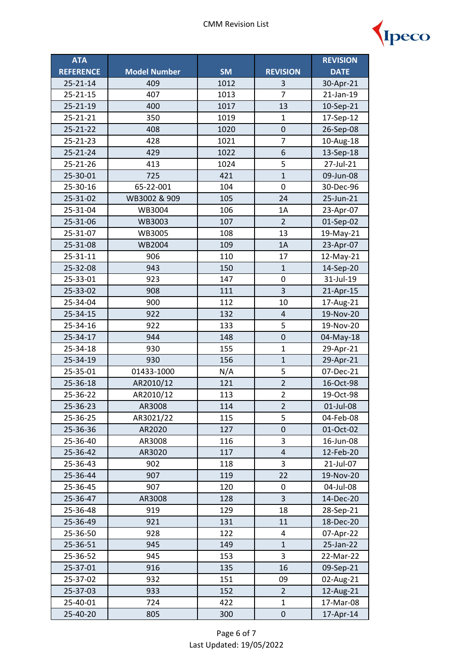

| <b>ATA</b>       |                     |           |                  | <b>REVISION</b> |
|------------------|---------------------|-----------|------------------|-----------------|
| <b>REFERENCE</b> | <b>Model Number</b> | <b>SM</b> | <b>REVISION</b>  | <b>DATE</b>     |
| $25 - 21 - 14$   | 409                 | 1012      | 3                | 30-Apr-21       |
| 25-21-15         | 407                 | 1013      | $\overline{7}$   | 21-Jan-19       |
| 25-21-19         | 400                 | 1017      | 13               | 10-Sep-21       |
| 25-21-21         | 350                 | 1019      | 1                | 17-Sep-12       |
| 25-21-22         | 408                 | 1020      | $\boldsymbol{0}$ | 26-Sep-08       |
| 25-21-23         | 428                 | 1021      | $\overline{7}$   | 10-Aug-18       |
| 25-21-24         | 429                 | 1022      | 6                | 13-Sep-18       |
| 25-21-26         | 413                 | 1024      | 5                | 27-Jul-21       |
| 25-30-01         | 725                 | 421       | $\mathbf{1}$     | 09-Jun-08       |
| 25-30-16         | 65-22-001           | 104       | $\mathbf 0$      | 30-Dec-96       |
| 25-31-02         | WB3002 & 909        | 105       | 24               | 25-Jun-21       |
| 25-31-04         | WB3004              | 106       | 1A               | 23-Apr-07       |
| 25-31-06         | WB3003              | 107       | $\overline{2}$   | 01-Sep-02       |
| 25-31-07         | WB3005              | 108       | 13               | 19-May-21       |
| 25-31-08         | <b>WB2004</b>       | 109       | 1A               | 23-Apr-07       |
| 25-31-11         | 906                 | 110       | 17               | 12-May-21       |
| 25-32-08         | 943                 | 150       | $\mathbf{1}$     | 14-Sep-20       |
| 25-33-01         | 923                 | 147       | 0                | 31-Jul-19       |
| 25-33-02         | 908                 | 111       | 3                | 21-Apr-15       |
| 25-34-04         | 900                 | 112       | 10               | 17-Aug-21       |
| 25-34-15         | 922                 | 132       | $\overline{4}$   | 19-Nov-20       |
| 25-34-16         | 922                 | 133       | 5                | 19-Nov-20       |
| 25-34-17         | 944                 | 148       | $\pmb{0}$        | 04-May-18       |
| 25-34-18         | 930                 | 155       | $\mathbf{1}$     | 29-Apr-21       |
| 25-34-19         | 930                 | 156       | $\mathbf{1}$     | 29-Apr-21       |
| 25-35-01         | 01433-1000          | N/A       | 5                | 07-Dec-21       |
| 25-36-18         | AR2010/12           | 121       | $\overline{2}$   | 16-Oct-98       |
| 25-36-22         | AR2010/12           | 113       | $\overline{2}$   | 19-Oct-98       |
| 25-36-23         | AR3008              | 114       | $\overline{2}$   | 01-Jul-08       |
| 25-36-25         | AR3021/22           | 115       | 5                | 04-Feb-08       |
| 25-36-36         | AR2020              | 127       | $\mathbf 0$      | 01-Oct-02       |
| 25-36-40         | AR3008              | 116       | 3                | 16-Jun-08       |
| 25-36-42         | AR3020              | 117       | $\sqrt{4}$       | 12-Feb-20       |
| 25-36-43         | 902                 | 118       | 3                | 21-Jul-07       |
| 25-36-44         | 907                 | 119       | 22               | 19-Nov-20       |
| 25-36-45         | 907                 | 120       | 0                | 04-Jul-08       |
| 25-36-47         | AR3008              | 128       | 3                | 14-Dec-20       |
| 25-36-48         | 919                 | 129       | 18               | 28-Sep-21       |
| 25-36-49         | 921                 | 131       | 11               | 18-Dec-20       |
| 25-36-50         | 928                 | 122       | 4                | 07-Apr-22       |
| 25-36-51         | 945                 | 149       | $\mathbf{1}$     | 25-Jan-22       |
| 25-36-52         | 945                 | 153       | 3                | 22-Mar-22       |
| 25-37-01         | 916                 | 135       | 16               | 09-Sep-21       |
| 25-37-02         | 932                 | 151       | 09               | 02-Aug-21       |
| 25-37-03         | 933                 | 152       | $\overline{2}$   | 12-Aug-21       |
| 25-40-01         | 724                 | 422       | $\mathbf{1}$     | 17-Mar-08       |
| 25-40-20         | 805                 | 300       | $\pmb{0}$        | 17-Apr-14       |